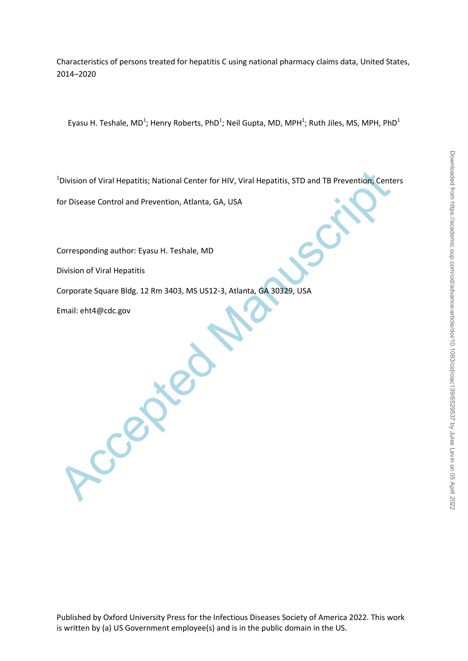Characteristics of persons treated for hepatitis C using national pharmacy claims data, United States, 2014–2020

Eyasu H. Teshale, MD<sup>1</sup>; Henry Roberts, PhD<sup>1</sup>; Neil Gupta, MD, MPH<sup>1</sup>; Ruth Jiles, MS, MPH, PhD<sup>1</sup>

<sup>1</sup> Division of Viral Hepatitis; National Center for HIV, Viral Hepatitis, STD and TB Prevention, Center for HIV, Viral Hepatitis, STD and TB Prevention, Center for HIV, Viral Hepatitis, STD and TB Prevention, Center for H <sup>1</sup>Division of Viral Hepatitis; National Center for HIV, Viral Hepatitis, STD and TB Prevention; Centers

for Disease Control and Prevention, Atlanta, GA, USA

Corresponding author: Eyasu H. Teshale, MD

Division of Viral Hepatitis

Corporate Square Bldg. 12 Rm 3403, MS US12-3, Atlanta, GA 30329, USA

Email: eht4@cdc.gov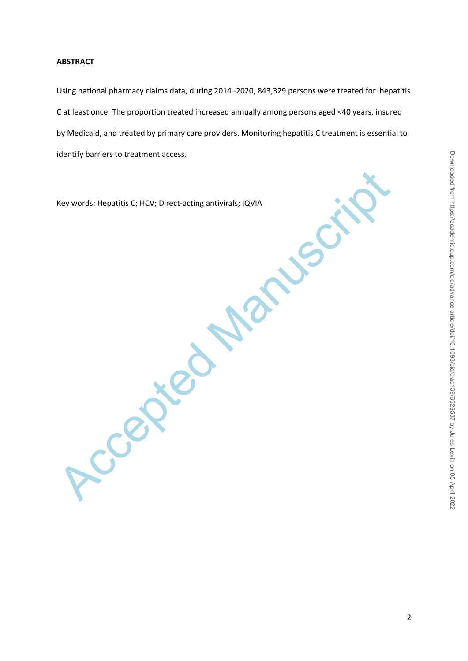# **ABSTRACT**

Using national pharmacy claims data, during 2014–2020, 843,329 persons were treated for hepatitis C at least once. The proportion treated increased annually among persons aged <40 years, insured by Medicaid, and treated by primary care providers. Monitoring hepatitis C treatment is essential to identify barriers to treatment access.

Ccepted Manuscri Key words: Hepatitis C; HCV; Direct-acting antivirals; IQVIA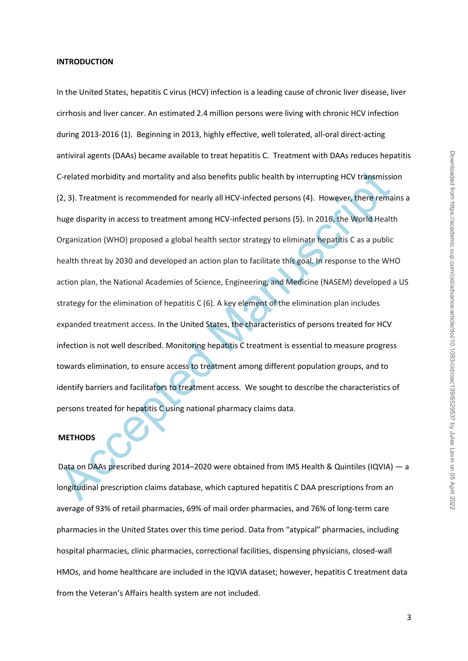### **INTRODUCTION**

C-related morbidity and mortality and also benefits public health by interrupting HCV transmission<br>
(2, 3). Treatment is recommended for nearly all HCV-infected persons (4). However, there rema<br>
huge disparity in access to In the United States, hepatitis C virus (HCV) infection is a leading cause of chronic liver disease, liver cirrhosis and liver cancer. An estimated 2.4 million persons were living with chronic HCV infection during 2013-2016 (1). Beginning in 2013, highly effective, well tolerated, all-oral direct-acting antiviral agents (DAAs) became available to treat hepatitis C. Treatment with DAAs reduces hepatitis C-related morbidity and mortality and also benefits public health by interrupting HCV transmission (2, 3). Treatment is recommended for nearly all HCV-infected persons (4). However, there remains a huge disparity in access to treatment among HCV-infected persons (5). In 2016, the World Health Organization (WHO) proposed a global health sector strategy to eliminate hepatitis C as a public health threat by 2030 and developed an action plan to facilitate this goal. In response to the WHO action plan, the National Academies of Science, Engineering, and Medicine (NASEM) developed a US strategy for the elimination of hepatitis C (6). A key element of the elimination plan includes expanded treatment access. In the United States, the characteristics of persons treated for HCV infection is not well described. Monitoring hepatitis C treatment is essential to measure progress towards elimination, to ensure access to treatment among different population groups, and to identify barriers and facilitators to treatment access. We sought to describe the characteristics of persons treated for hepatitis C using national pharmacy claims data.

### **METHODS**

Data on DAAs prescribed during 2014–2020 were obtained from IMS Health & Quintiles (IQVIA) — a longitudinal prescription claims database, which captured hepatitis C DAA prescriptions from an average of 93% of retail pharmacies, 69% of mail order pharmacies, and 76% of long-term care pharmacies in the United States over this time period. Data from "atypical" pharmacies, including hospital pharmacies, clinic pharmacies, correctional facilities, dispensing physicians, closed-wall HMOs, and home healthcare are included in the IQVIA dataset; however, hepatitis C treatment data from the Veteran's Affairs health system are not included.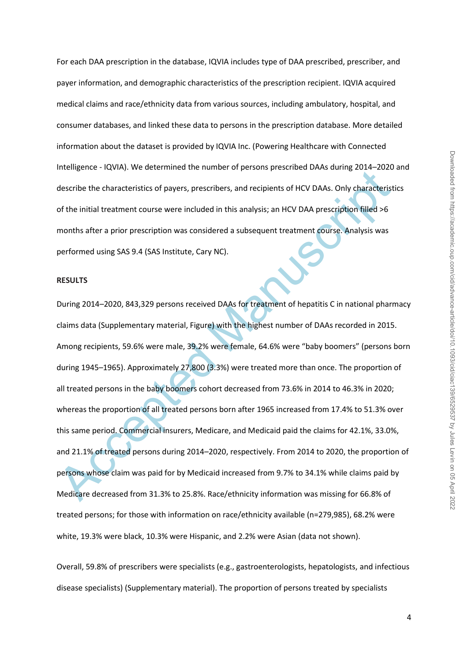For each DAA prescription in the database, IQVIA includes type of DAA prescribed, prescriber, and payer information, and demographic characteristics of the prescription recipient. IQVIA acquired medical claims and race/ethnicity data from various sources, including ambulatory, hospital, and consumer databases, and linked these data to persons in the prescription database. More detailed information about the dataset is provided by IQVIA Inc. (Powering Healthcare with Connected Intelligence - IQVIA). We determined the number of persons prescribed DAAs during 2014–2020 and describe the characteristics of payers, prescribers, and recipients of HCV DAAs. Only characteristics of the initial treatment course were included in this analysis; an HCV DAA prescription filled >6 months after a prior prescription was considered a subsequent treatment course. Analysis was performed using SAS 9.4 (SAS Institute, Cary NC).

## **RESULTS**

memgeine "icensy" are determined the number or persons presented DARs doming 2024" 2020<br>describe the characteristics of payers, prescribers, and recipients of HCV DAAs. Only characterist<br>of the initial treatment course wer During 2014–2020, 843,329 persons received DAAs for treatment of hepatitis C in national pharmacy claims data (Supplementary material, Figure) with the highest number of DAAs recorded in 2015. Among recipients, 59.6% were male, 39.2% were female, 64.6% were "baby boomers" (persons born during 1945–1965). Approximately 27,800 (3.3%) were treated more than once. The proportion of all treated persons in the baby boomers cohort decreased from 73.6% in 2014 to 46.3% in 2020; whereas the proportion of all treated persons born after 1965 increased from 17.4% to 51.3% over this same period. Commercial insurers, Medicare, and Medicaid paid the claims for 42.1%, 33.0%, and 21.1% of treated persons during 2014–2020, respectively. From 2014 to 2020, the proportion of persons whose claim was paid for by Medicaid increased from 9.7% to 34.1% while claims paid by Medicare decreased from 31.3% to 25.8%. Race/ethnicity information was missing for 66.8% of treated persons; for those with information on race/ethnicity available (n=279,985), 68.2% were white, 19.3% were black, 10.3% were Hispanic, and 2.2% were Asian (data not shown).

Overall, 59.8% of prescribers were specialists (e.g., gastroenterologists, hepatologists, and infectious disease specialists) (Supplementary material). The proportion of persons treated by specialists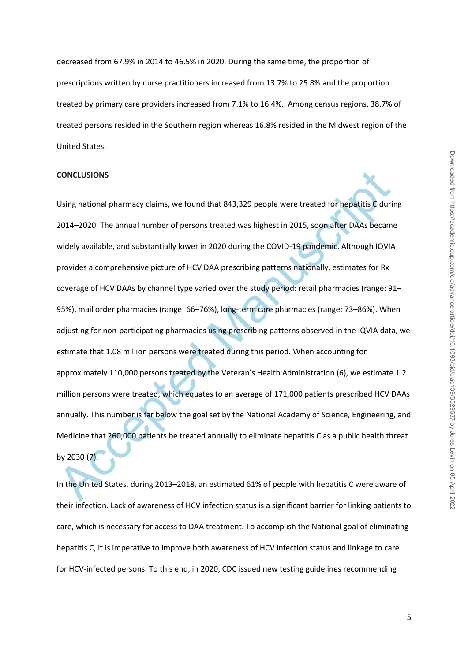decreased from 67.9% in 2014 to 46.5% in 2020. During the same time, the proportion of prescriptions written by nurse practitioners increased from 13.7% to 25.8% and the proportion treated by primary care providers increased from 7.1% to 16.4%. Among census regions, 38.7% of treated persons resided in the Southern region whereas 16.8% resided in the Midwest region of the United States.

#### **CONCLUSIONS**

CONCLUSIONS<br>Using national pharmacy claims, we found that 843,329 people were treated for hepatitis C duri<br>2014–2020. The annual number of persons treated was highest in 2015, soon after DAAs became<br>widely available, and s Using national pharmacy claims, we found that 843,329 people were treated for hepatitis C during 2014–2020. The annual number of persons treated was highest in 2015, soon after DAAs became widely available, and substantially lower in 2020 during the COVID-19 pandemic. Although IQVIA provides a comprehensive picture of HCV DAA prescribing patterns nationally, estimates for Rx coverage of HCV DAAs by channel type varied over the study period: retail pharmacies (range: 91– 95%), mail order pharmacies (range: 66–76%), long-term care pharmacies (range: 73–86%). When adjusting for non-participating pharmacies using prescribing patterns observed in the IQVIA data, we estimate that 1.08 million persons were treated during this period. When accounting for approximately 110,000 persons treated by the Veteran's Health Administration (6), we estimate 1.2 million persons were treated, which equates to an average of 171,000 patients prescribed HCV DAAs annually. This number is far below the goal set by the National Academy of Science, Engineering, and Medicine that 260,000 patients be treated annually to eliminate hepatitis C as a public health threat by 2030 (7).

In the United States, during 2013–2018, an estimated 61% of people with hepatitis C were aware of their infection. Lack of awareness of HCV infection status is a significant barrier for linking patients to care, which is necessary for access to DAA treatment. To accomplish the National goal of eliminating hepatitis C, it is imperative to improve both awareness of HCV infection status and linkage to care for HCV-infected persons. To this end, in 2020, CDC issued new testing guidelines recommending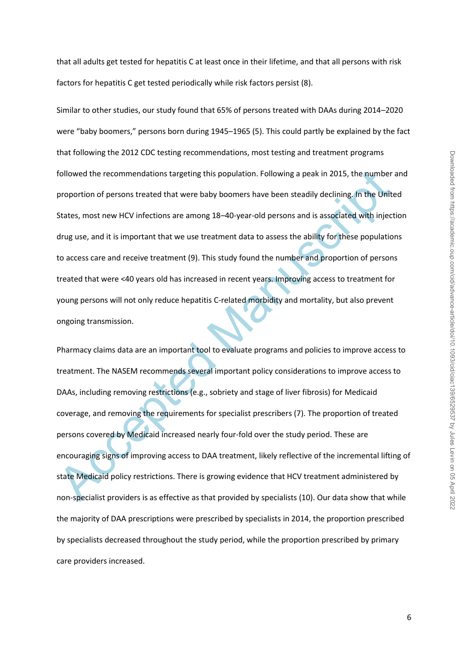that all adults get tested for hepatitis C at least once in their lifetime, and that all persons with risk factors for hepatitis C get tested periodically while risk factors persist (8).

followed the recommendations targeting this population. Following a peak in 2015, the number<br>proportion of persons treated that were baby boomers have been steadily declining. In the Unit<br>States, most new HCV infections ar Similar to other studies, our study found that 65% of persons treated with DAAs during 2014–2020 were "baby boomers," persons born during 1945–1965 (5). This could partly be explained by the fact that following the 2012 CDC testing recommendations, most testing and treatment programs followed the recommendations targeting this population. Following a peak in 2015, the number and proportion of persons treated that were baby boomers have been steadily declining. In the United States, most new HCV infections are among 18–40-year-old persons and is associated with injection drug use, and it is important that we use treatment data to assess the ability for these populations to access care and receive treatment (9). This study found the number and proportion of persons treated that were <40 years old has increased in recent years. Improving access to treatment for young persons will not only reduce hepatitis C-related morbidity and mortality, but also prevent ongoing transmission.

Pharmacy claims data are an important tool to evaluate programs and policies to improve access to treatment. The NASEM recommends several important policy considerations to improve access to DAAs, including removing restrictions (e.g., sobriety and stage of liver fibrosis) for Medicaid coverage, and removing the requirements for specialist prescribers (7). The proportion of treated persons covered by Medicaid increased nearly four-fold over the study period. These are encouraging signs of improving access to DAA treatment, likely reflective of the incremental lifting of state Medicaid policy restrictions. There is growing evidence that HCV treatment administered by non-specialist providers is as effective as that provided by specialists (10). Our data show that while the majority of DAA prescriptions were prescribed by specialists in 2014, the proportion prescribed by specialists decreased throughout the study period, while the proportion prescribed by primary care providers increased.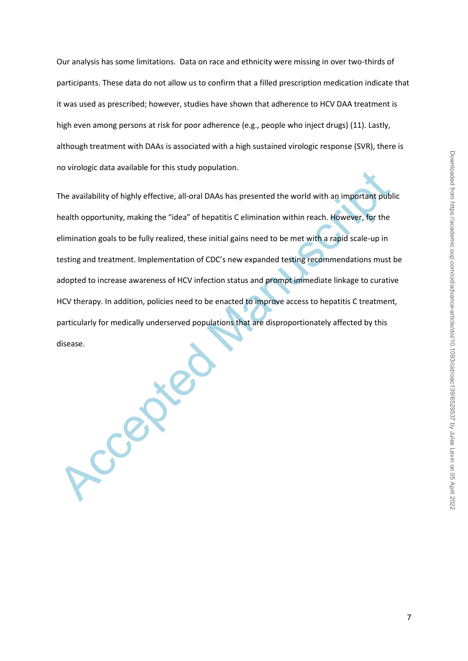Our analysis has some limitations. Data on race and ethnicity were missing in over two-thirds of participants. These data do not allow us to confirm that a filled prescription medication indicate that it was used as prescribed; however, studies have shown that adherence to HCV DAA treatment is high even among persons at risk for poor adherence (e.g., people who inject drugs) (11). Lastly, although treatment with DAAs is associated with a high sustained virologic response (SVR), there is no virologic data available for this study population.

The availability of highly effective, all-oral DAAs has presented the world with an important publication probability of highly effective, all-oral DAAs has presented the world with an important publication beautiful propo The availability of highly effective, all-oral DAAs has presented the world with an important public health opportunity, making the "idea" of hepatitis C elimination within reach. However, for the elimination goals to be fully realized, these initial gains need to be met with a rapid scale-up in testing and treatment. Implementation of CDC's new expanded testing recommendations must be adopted to increase awareness of HCV infection status and prompt immediate linkage to curative HCV therapy. In addition, policies need to be enacted to improve access to hepatitis C treatment, particularly for medically underserved populations that are disproportionately affected by this disease.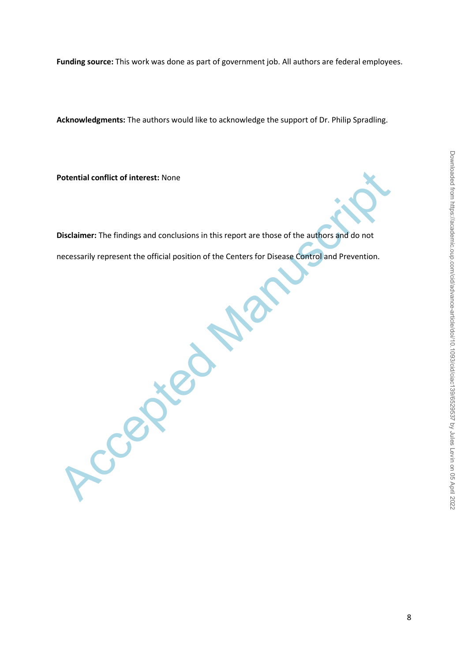**Acknowledgments:** The authors would like to acknowledge the support of Dr. Philip Spradling.

**Potential conflict of interest:** None

Accepted Manuscript

**Disclaimer:** The findings and conclusions in this report are those of the authors and do not necessarily represent the official position of the Centers for Disease Control and Prevention.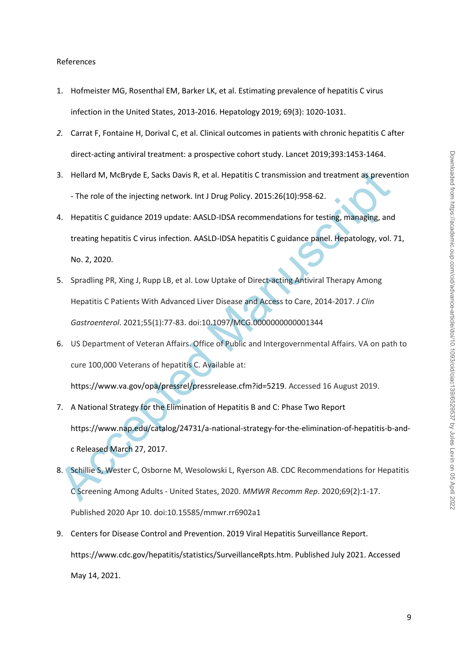### References

- 1. Hofmeister MG, Rosenthal EM, Barker LK, et al. Estimating prevalence of hepatitis C virus infection in the United States, 2013-2016. Hepatology 2019; 69(3): 1020-1031.
- *2.* Carrat F, Fontaine H, Dorival C, et al. Clinical outcomes in patients with chronic hepatitis C after direct‐acting antiviral treatment: a prospective cohort study. Lancet 2019;393:1453‐1464.
- 3. Hellard M, McBryde E, Sacks Davis R, et al. Hepatitis C transmission and treatment as prevention - The role of the injecting network. Int J Drug Policy. 2015:26(10):958-62.
- 3. Hellard M, McBryde E, Sacks Davis R, et al. Hepatitis C transmission and treatment as preven<br>
 The role of the injecting network. Int J Drug Policy. 2015:26(10):958-62.<br>
4. Hepatitis C guidance 2019 update: AASLD-IDSA 4. Hepatitis C guidance 2019 update: AASLD-IDSA recommendations for testing, managing, and treating hepatitis C virus infection. AASLD-IDSA hepatitis C guidance panel. Hepatology, vol. 71, No. 2, 2020.
- 5. Spradling PR, Xing J, Rupp LB, et al. Low Uptake of Direct-acting Antiviral Therapy Among Hepatitis C Patients With Advanced Liver Disease and Access to Care, 2014-2017. *J Clin Gastroenterol*. 2021;55(1):77-83. doi:10.1097/MCG.0000000000001344
- 6. US Department of Veteran Affairs. Office of Public and Intergovernmental Affairs. VA on path to cure 100,000 Veterans of hepatitis C. Available at:

https://www.va.gov/opa/pressrel/pressrelease.cfm?id=5219. Accessed 16 August 2019.

- 7. A National Strategy for the Elimination of Hepatitis B and C: Phase Two Report https://www.nap.edu/catalog/24731/a-national-strategy-for-the-elimination-of-hepatitis-b-andc Released March 27, 2017.
- 8. Schillie S, Wester C, Osborne M, Wesolowski L, Ryerson AB. CDC Recommendations for Hepatitis C Screening Among Adults - United States, 2020. *MMWR Recomm Rep*. 2020;69(2):1-17. Published 2020 Apr 10. doi:10.15585/mmwr.rr6902a1
- 9. Centers for Disease Control and Prevention. 2019 Viral Hepatitis Surveillance Report. https://www.cdc.gov/hepatitis/statistics/SurveillanceRpts.htm. Published July 2021. Accessed May 14, 2021.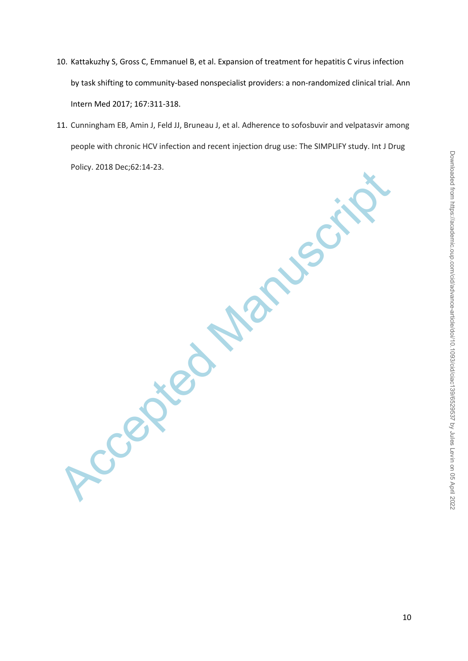- 10. Kattakuzhy S, Gross C, Emmanuel B, et al. Expansion of treatment for hepatitis C virus infection by task shifting to community-based nonspecialist providers: a non-randomized clinical trial. Ann Intern Med 2017; 167:311-318.
- 11. Cunningham EB, Amin J, Feld JJ, Bruneau J, et al. Adherence to sofosbuvir and velpatasvir among people with chronic HCV infection and recent injection drug use: The SIMPLIFY study. Int J Drug Policy. 2018 Dec;62:14-23.

Accepted Manuscript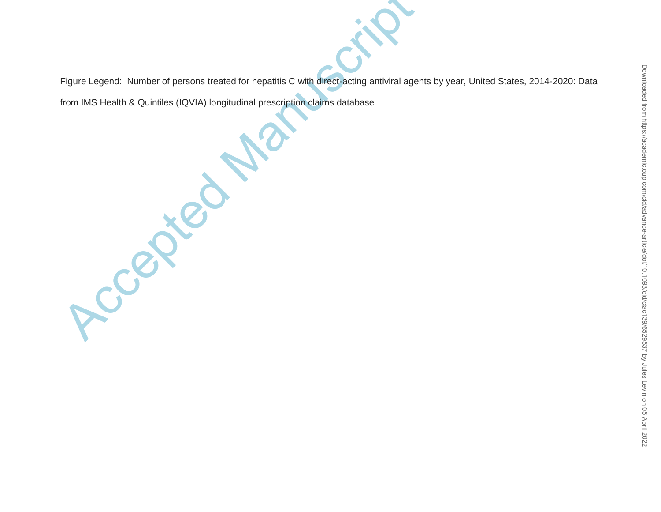Downloaded from https://academic.oup.com/cid/advance-article/doi/10.1093/cid/ciac139/6529537 by Jules Levin on 05 April 2022 Downloaded from https://academic.oup.com/cid/advance-article/doi/10.1093/cid/ciac139/6529537 by Jules Levin on 05 April 2022

Figure Legend: Number of persons treated for hepatitis C with direct-acting antiviral agents by year, United States, 2014-2020: Data

from IMS Health & Quintiles (IQVIA) longitudinal prescription claims database

Accepted Manuscript